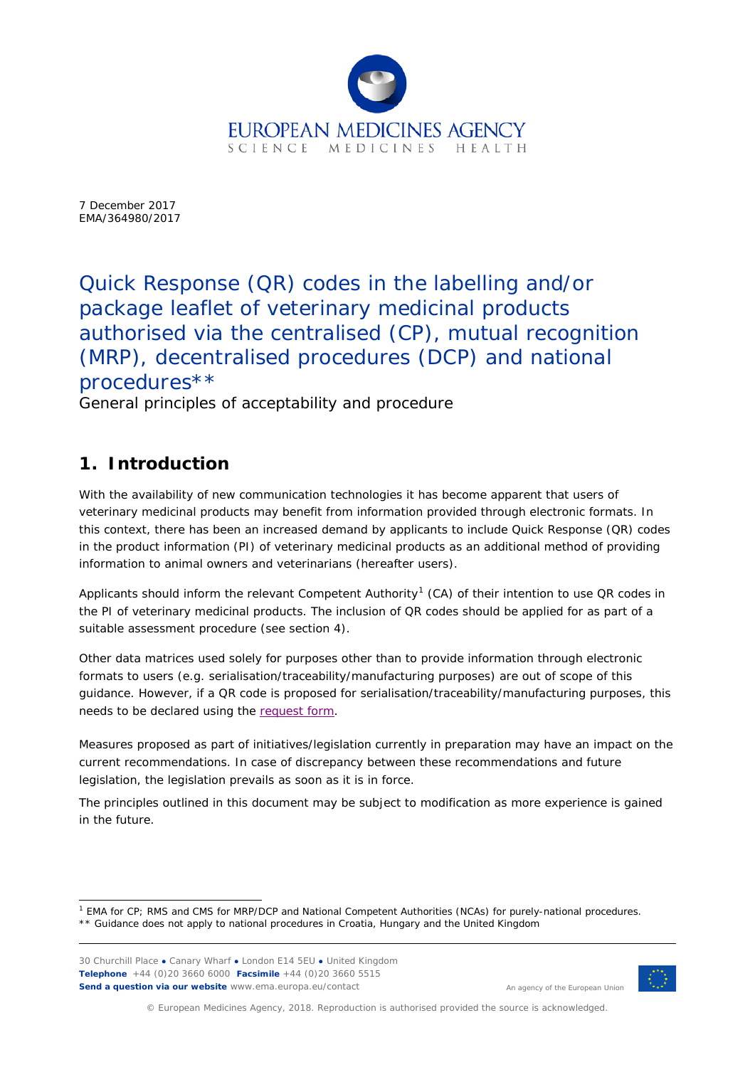

7 December 2017 EMA/364980/2017

Quick Response (QR) codes in the labelling and/or package leaflet of veterinary medicinal products authorised via the centralised (CP), mutual recognition (MRP), decentralised procedures (DCP) and national procedures\*\*

General principles of acceptability and procedure

# **1. Introduction**

With the availability of new communication technologies it has become apparent that users of veterinary medicinal products may benefit from information provided through electronic formats. In this context, there has been an increased demand by applicants to include Quick Response (QR) codes in the product information (PI) of veterinary medicinal products as an additional method of providing information to animal owners and veterinarians (hereafter users).

Applicants should inform the relevant Competent Authority<sup>[1](#page-0-0)</sup> (CA) of their intention to use QR codes in the PI of veterinary medicinal products. The inclusion of QR codes should be applied for as part of a suitable assessment procedure (see section 4).

Other data matrices used solely for purposes other than to provide information through electronic formats to users (e.g. serialisation/traceability/manufacturing purposes) are out of scope of this guidance. However, if a QR code is proposed for serialisation/traceability/manufacturing purposes, this needs to be declared using the [request form.](http://www.ema.europa.eu/ema/index.jsp?curl=pages/regulation/document_listing/document_listing_000253.jsp&mid=WC0b01ac058008af8a)

Measures proposed as part of initiatives/legislation currently in preparation may have an impact on the current recommendations. In case of discrepancy between these recommendations and future legislation, the legislation prevails as soon as it is in force.

The principles outlined in this document may be subject to modification as more experience is gained in the future.

30 Churchill Place **●** Canary Wharf **●** London E14 5EU **●** United Kingdom **Telephone** +44 (0)20 3660 6000 **Facsimile** +44 (0)20 3660 5515 **Send a question via our website** www.ema.europa.eu/contact



An agency of the European Union

© European Medicines Agency, 2018. Reproduction is authorised provided the source is acknowledged.

<span id="page-0-0"></span> <sup>1</sup> EMA for CP; RMS and CMS for MRP/DCP and National Competent Authorities (NCAs) for purely-national procedures. \*\* Guidance does not apply to national procedures in Croatia, Hungary and the United Kingdom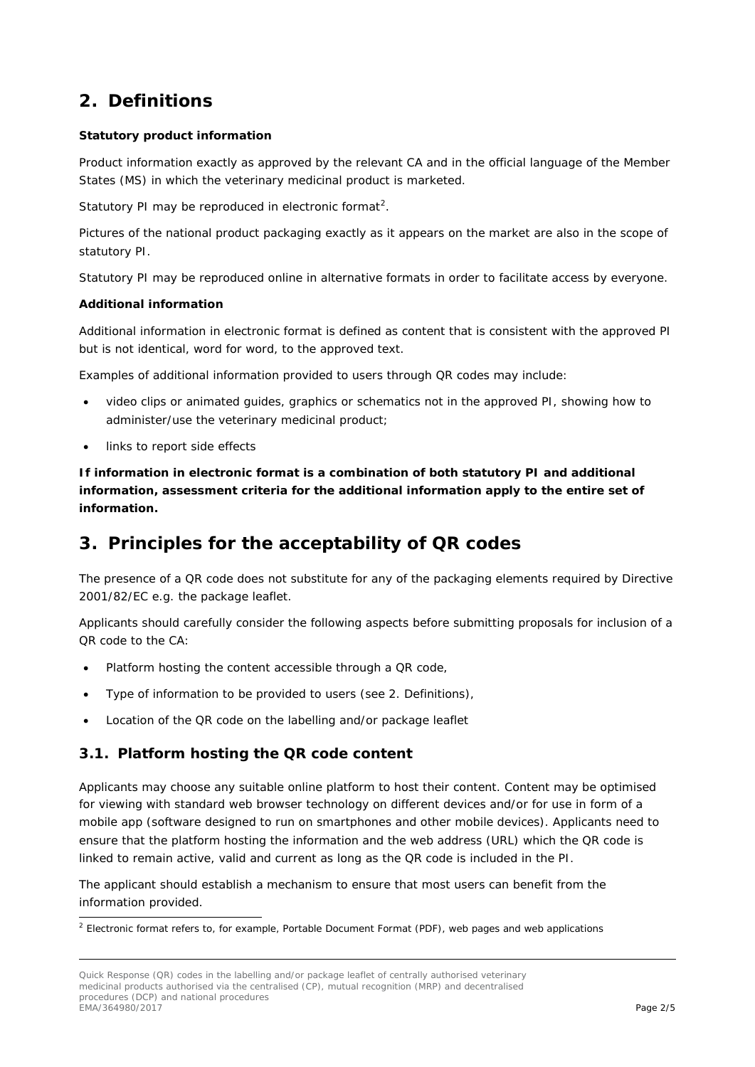# **2. Definitions**

#### **Statutory product information**

Product information exactly as approved by the relevant CA and in the official language of the Member States (MS) in which the veterinary medicinal product is marketed.

Statutory PI may be reproduced in electronic format<sup>[2](#page-1-0)</sup>.

Pictures of the national product packaging exactly as it appears on the market are also in the scope of statutory PI.

Statutory PI may be reproduced online in alternative formats in order to facilitate access by everyone.

#### **Additional information**

Additional information in electronic format is defined as content that is consistent with the approved PI but is not identical, word for word, to the approved text.

Examples of additional information provided to users through QR codes may include:

- video clips or animated guides, graphics or schematics not in the approved PI, showing how to administer/use the veterinary medicinal product;
- links to report side effects

**If information in electronic format is a combination of both statutory PI and additional information, assessment criteria for the additional information apply to the entire set of information.**

# **3. Principles for the acceptability of QR codes**

The presence of a QR code does not substitute for any of the packaging elements required by Directive 2001/82/EC e.g. the package leaflet.

Applicants should carefully consider the following aspects before submitting proposals for inclusion of a QR code to the CA:

- Platform hosting the content accessible through a QR code,
- Type of information to be provided to users (see 2. Definitions),
- Location of the QR code on the labelling and/or package leaflet

# *3.1. Platform hosting the QR code content*

Applicants may choose any suitable online platform to host their content. Content may be optimised for viewing with standard web browser technology on different devices and/or for use in form of a mobile app (software designed to run on smartphones and other mobile devices). Applicants need to ensure that the platform hosting the information and the web address (URL) which the QR code is linked to remain active, valid and current as long as the QR code is included in the PI.

The applicant should establish a mechanism to ensure that most users can benefit from the information provided.

<span id="page-1-0"></span><sup>&</sup>lt;sup>2</sup> Electronic format refers to, for example, Portable Document Format (PDF), web pages and web applications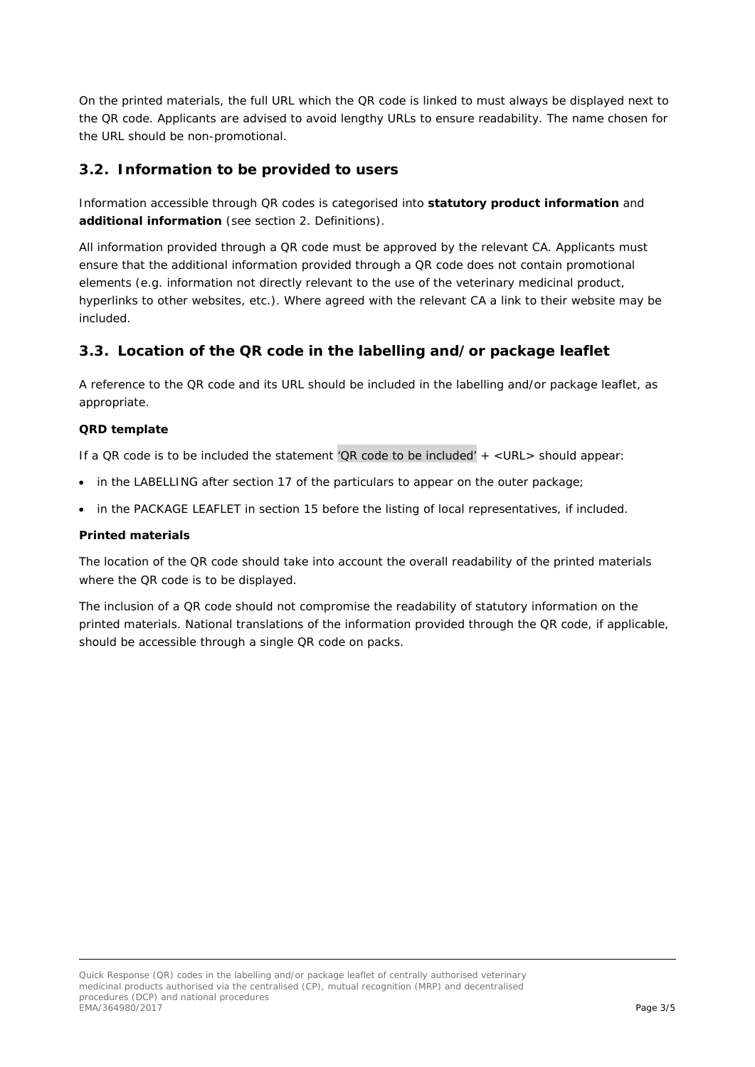On the printed materials, the full URL which the QR code is linked to must always be displayed next to the QR code. Applicants are advised to avoid lengthy URLs to ensure readability. The name chosen for the URL should be non-promotional.

## *3.2. Information to be provided to users*

Information accessible through QR codes is categorised into **statutory product information** and **additional information** (see section 2. Definitions).

All information provided through a QR code must be approved by the relevant CA. Applicants must ensure that the additional information provided through a QR code does not contain promotional elements (e.g. information not directly relevant to the use of the veterinary medicinal product, hyperlinks to other websites, etc.). Where agreed with the relevant CA a link to their website may be included.

## *3.3. Location of the QR code in the labelling and/or package leaflet*

A reference to the QR code and its URL should be included in the labelling and/or package leaflet, as appropriate.

#### **QRD template**

If a QR code is to be included the statement *'QR code to be included' + <URL>* should appear:

- in the LABELLING after section 17 of the particulars to appear on the outer package;
- in the PACKAGE LEAFLET in section 15 before the listing of local representatives, if included.

#### **Printed materials**

The location of the QR code should take into account the overall readability of the printed materials where the QR code is to be displayed.

The inclusion of a QR code should not compromise the readability of statutory information on the printed materials. National translations of the information provided through the QR code, if applicable, should be accessible through a single QR code on packs.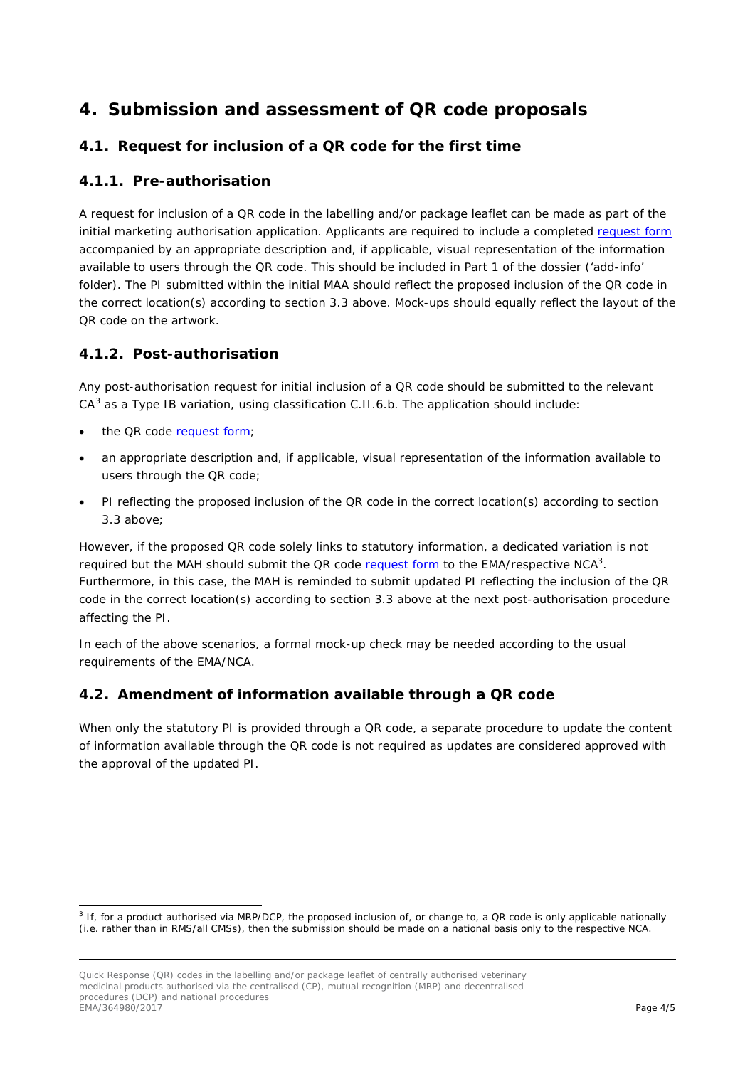# **4. Submission and assessment of QR code proposals**

# *4.1. Request for inclusion of a QR code for the first time*

## **4.1.1. Pre-authorisation**

A request for inclusion of a QR code in the labelling and/or package leaflet can be made as part of the initial marketing authorisation application. Applicants are required to include a completed [request](http://www.ema.europa.eu/ema/index.jsp?curl=pages/regulation/document_listing/document_listing_000253.jsp&mid=WC0b01ac058008af8a) form accompanied by an appropriate description and, if applicable, visual representation of the information available to users through the QR code. This should be included in Part 1 of the dossier ('add-info' folder). The PI submitted within the initial MAA should reflect the proposed inclusion of the QR code in the correct location(s) according to section 3.3 above. Mock-ups should equally reflect the layout of the QR code on the artwork.

## **4.1.2. Post-authorisation**

<span id="page-3-0"></span>Any post-authorisation request for initial inclusion of a QR code should be submitted to the relevant  $CA<sup>3</sup>$  $CA<sup>3</sup>$  $CA<sup>3</sup>$  as a Type IB variation, using classification C.II.6.b. The application should include:

- the QR code request form:
- an appropriate description and, if applicable, visual representation of the information available to users through the QR code;
- PI reflecting the proposed inclusion of the QR code in the correct location(s) according to section 3.3 above;

However, if the proposed QR code solely links to statutory information, a dedicated variation is not required but the MAH should submit the QR code [request](http://www.ema.europa.eu/ema/index.jsp?curl=pages/regulation/document_listing/document_listing_000253.jsp&mid=WC0b01ac058008af8a) form to the EMA/respective NCA<sup>3</sup>. Furthermore, in this case, the MAH is reminded to submit updated PI reflecting the inclusion of the QR code in the correct location(s) according to section 3.3 above at the next post-authorisation procedure affecting the PI.

In each of the above scenarios, a formal mock-up check may be needed according to the usual requirements of the EMA/NCA.

# *4.2. Amendment of information available through a QR code*

When only the statutory PI is provided through a QR code, a separate procedure to update the content of information available through the QR code is not required as updates are considered approved with the approval of the updated PI.

<span id="page-3-1"></span><sup>&</sup>lt;sup>3</sup> If, for a product authorised via MRP/DCP, the proposed inclusion of, or change to, a QR code is only applicable nationally (i.e. rather than in RMS/all CMSs), then the submission should be made on a national basis only to the respective NCA.